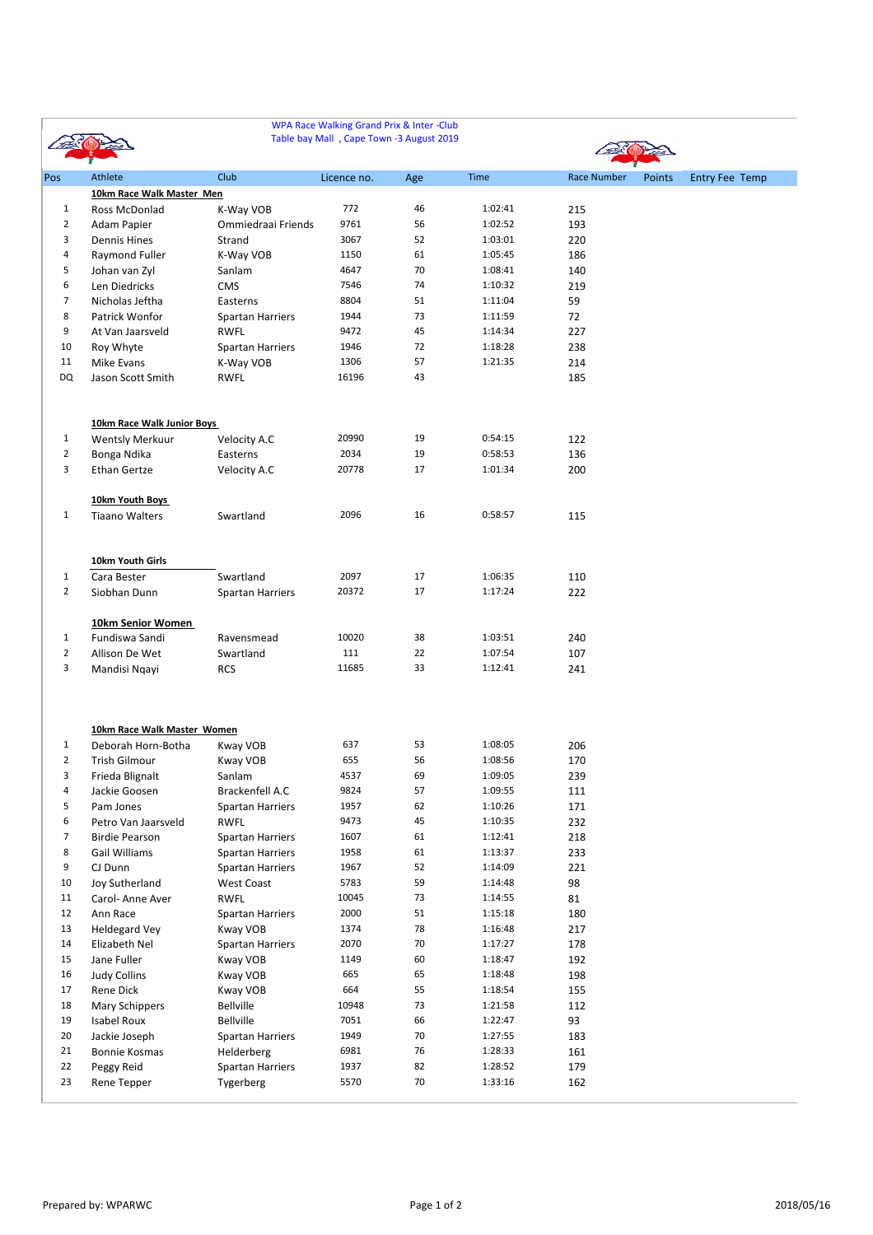|                |                             |                         | WPA Race Walking Grand Prix & Inter-Club<br>Table bay Mall, Cape Town -3 August 2019 |     |         |                    |        |                       |
|----------------|-----------------------------|-------------------------|--------------------------------------------------------------------------------------|-----|---------|--------------------|--------|-----------------------|
| Pos            | Athlete                     | <b>Club</b>             | Licence no.                                                                          | Age | Time    | <b>Race Number</b> | Points | <b>Entry Fee Temp</b> |
|                | 10km Race Walk Master Men   |                         |                                                                                      |     |         |                    |        |                       |
| $\mathbf{1}$   | Ross McDonlad               | K-Way VOB               | 772                                                                                  | 46  | 1:02:41 | 215                |        |                       |
| $\overline{2}$ | Adam Papier                 | Ommiedraai Friends      | 9761                                                                                 | 56  | 1:02:52 | 193                |        |                       |
| 3              | <b>Dennis Hines</b>         | Strand                  | 3067                                                                                 | 52  | 1:03:01 | 220                |        |                       |
| 4              | Raymond Fuller              | K-Way VOB               | 1150                                                                                 | 61  | 1:05:45 | 186                |        |                       |
| 5              | Johan van Zyl               | Sanlam                  | 4647                                                                                 | 70  | 1:08:41 | 140                |        |                       |
| 6              | Len Diedricks               | <b>CMS</b>              | 7546                                                                                 | 74  | 1:10:32 | 219                |        |                       |
| $\overline{7}$ | Nicholas Jeftha             | Easterns                | 8804                                                                                 | 51  | 1:11:04 | 59                 |        |                       |
| 8              | Patrick Wonfor              | <b>Spartan Harriers</b> | 1944                                                                                 | 73  | 1:11:59 | 72                 |        |                       |
| 9              | At Van Jaarsveld            | <b>RWFL</b>             | 9472                                                                                 | 45  | 1:14:34 | 227                |        |                       |
| 10             | Roy Whyte                   | <b>Spartan Harriers</b> | 1946                                                                                 | 72  | 1:18:28 | 238                |        |                       |
| 11             | Mike Evans                  | K-Way VOB               | 1306                                                                                 | 57  | 1:21:35 | 214                |        |                       |
| <b>DQ</b>      | Jason Scott Smith           | <b>RWFL</b>             | 16196                                                                                | 43  |         | 185                |        |                       |
|                | 10km Race Walk Junior Boys  |                         |                                                                                      |     |         |                    |        |                       |
| $\mathbf{1}$   | <b>Wentsly Merkuur</b>      | Velocity A.C            | 20990                                                                                | 19  | 0:54:15 | 122                |        |                       |
| $\overline{2}$ | Bonga Ndika                 | Easterns                | 2034                                                                                 | 19  | 0:58:53 | 136                |        |                       |
| 3              | <b>Ethan Gertze</b>         | Velocity A.C            | 20778                                                                                | 17  | 1:01:34 | 200                |        |                       |
|                |                             |                         |                                                                                      |     |         |                    |        |                       |
|                | 10km Youth Boys             |                         |                                                                                      |     |         |                    |        |                       |
| $\mathbf{1}$   | <b>Tiaano Walters</b>       | Swartland               | 2096                                                                                 | 16  | 0:58:57 | 115                |        |                       |
|                | 10km Youth Girls            |                         |                                                                                      |     |         |                    |        |                       |
| 1              | Cara Bester                 | Swartland               | 2097                                                                                 | 17  | 1:06:35 | 110                |        |                       |
| $\overline{2}$ | Siobhan Dunn                | <b>Spartan Harriers</b> | 20372                                                                                | 17  | 1:17:24 | 222                |        |                       |
|                |                             |                         |                                                                                      |     |         |                    |        |                       |
|                | 10km Senior Women           |                         |                                                                                      |     |         |                    |        |                       |
| $\mathbf{1}$   | Fundiswa Sandi              | Ravensmead              | 10020                                                                                | 38  | 1:03:51 | 240                |        |                       |
| $\overline{2}$ | Allison De Wet              | Swartland               | 111                                                                                  | 22  | 1:07:54 | 107                |        |                       |
| 3              | Mandisi Ngayi               | <b>RCS</b>              | 11685                                                                                | 33  | 1:12:41 | 241                |        |                       |
|                |                             |                         |                                                                                      |     |         |                    |        |                       |
|                | 10km Race Walk Master Women |                         |                                                                                      |     |         |                    |        |                       |
| 1              | Deborah Horn-Botha          | Kway VOB                | 637                                                                                  | 53  | 1:08:05 | 206                |        |                       |
| $\overline{2}$ | Trish Gilmour               | Kway VOB                | 655                                                                                  | 56  | 1:08:56 | 170                |        |                       |
| 3              | Frieda Blignalt             | Sanlam                  | 4537                                                                                 | 69  | 1:09:05 | 239                |        |                       |
| 4              | Jackie Goosen               | Brackenfell A.C         | 9824                                                                                 | 57  | 1:09:55 | 111                |        |                       |
| 5              | Pam Jones                   | <b>Spartan Harriers</b> | 1957                                                                                 | 62  | 1:10:26 | 171                |        |                       |
| 6              | Petro Van Jaarsveld         | <b>RWFL</b>             | 9473                                                                                 | 45  | 1:10:35 | 232                |        |                       |
| 7              | <b>Birdie Pearson</b>       | Spartan Harriers        | 1607                                                                                 | 61  | 1:12:41 | 218                |        |                       |
| 8              | Gail Williams               | <b>Spartan Harriers</b> | 1958                                                                                 | 61  | 1:13:37 | 233                |        |                       |
| 9              | CJ Dunn                     | Spartan Harriers        | 1967                                                                                 | 52  | 1:14:09 | 221                |        |                       |
| 10             | Joy Sutherland              | <b>West Coast</b>       | 5783                                                                                 | 59  | 1:14:48 | 98                 |        |                       |
| 11             | Carol-Anne Aver             | <b>RWFL</b>             | 10045                                                                                | 73  | 1:14:55 | 81                 |        |                       |
| 12             | Ann Race                    | Spartan Harriers        | 2000                                                                                 | 51  | 1:15:18 | 180                |        |                       |
| 13             | <b>Heldegard Vey</b>        | Kway VOB                | 1374                                                                                 | 78  | 1:16:48 | 217                |        |                       |
| 14             | Elizabeth Nel               | Spartan Harriers        | 2070                                                                                 | 70  | 1:17:27 | 178                |        |                       |

| 15 | Jane Fuller          | Kway VOB         | 1149  | 60 | 1:18:47 | 192 |
|----|----------------------|------------------|-------|----|---------|-----|
| 16 | <b>Judy Collins</b>  | Kway VOB         | 665   | 65 | 1:18:48 | 198 |
| 17 | Rene Dick            | Kway VOB         | 664   | 55 | 1:18:54 | 155 |
| 18 | Mary Schippers       | <b>Bellville</b> | 10948 | 73 | 1:21:58 | 112 |
| 19 | <b>Isabel Roux</b>   | <b>Bellville</b> | 7051  | 66 | 1:22:47 | 93  |
| 20 | Jackie Joseph        | Spartan Harriers | 1949  | 70 | 1:27:55 | 183 |
| 21 | <b>Bonnie Kosmas</b> | Helderberg       | 6981  | 76 | 1:28:33 | 161 |
| 22 | Peggy Reid           | Spartan Harriers | 1937  | 82 | 1:28:52 | 179 |
| 23 | Rene Tepper          | <b>Tygerberg</b> | 5570  | 70 | 1:33:16 | 162 |